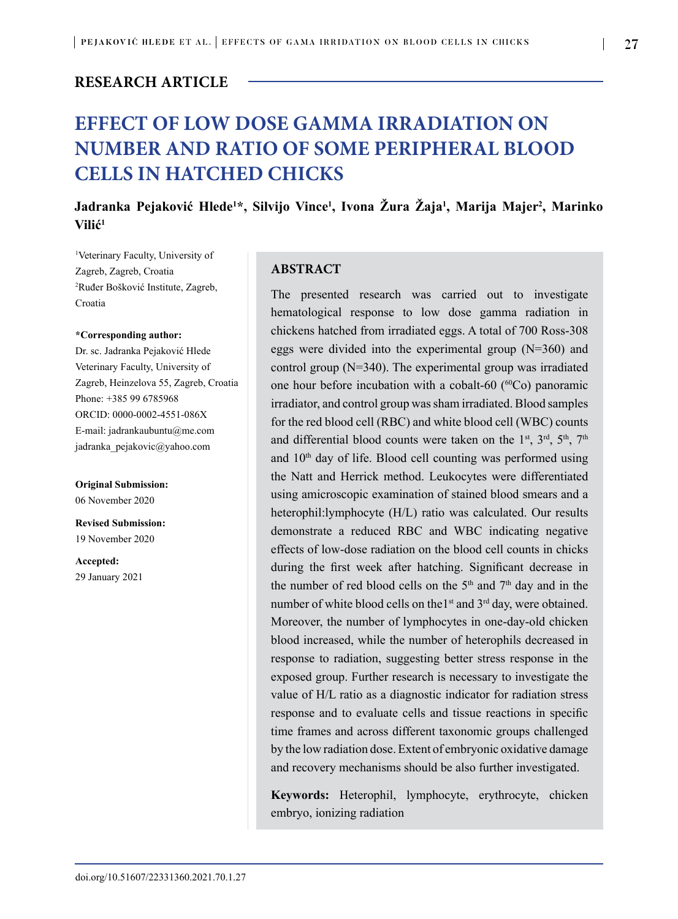# **RESEARCH ARTICLE**

# **EFFECT OF LOW DOSE GAMMA IRRADIATION ON NUMBER AND RATIO OF SOME PERIPHERAL BLOOD CELLS IN HATCHED CHICKS**

# **Jadranka Pejaković Hlede<sup>1</sup> \*, Silvijo Vince<sup>1</sup> , Ivona Žura Žaja<sup>1</sup> , Marija Majer2 , Marinko Vilić<sup>1</sup>**

1 Veterinary Faculty, University of Zagreb, Zagreb, Croatia 2 Ruđer Bošković Institute, Zagreb, Croatia

#### **\*Corresponding author:**

Dr. sc. Jadranka Pejaković Hlede Veterinary Faculty, University of Zagreb, Heinzelova 55, Zagreb, Croatia Phone: +385 99 6785968 ORCID: 0000-0002-4551-086X E-mail: jadrankaubuntu@me.com [jadranka\\_pejakovic@yahoo.com](mailto:jadranka_pejakovic@yahoo.com)

**Original Submission:**  06 November 2020

**Revised Submission:**  19 November 2020

**Accepted:**  29 January 2021

## **ABSTRACT**

The presented research was carried out to investigate hematological response to low dose gamma radiation in chickens hatched from irradiated eggs. A total of 700 Ross-308 eggs were divided into the experimental group (N=360) and control group (N=340). The experimental group was irradiated one hour before incubation with a cobalt-60  $(^{60}Co)$  panoramic irradiator, and control group was sham irradiated. Blood samples for the red blood cell (RBC) and white blood cell (WBC) counts and differential blood counts were taken on the 1<sup>st</sup>, 3<sup>rd</sup>, 5<sup>th</sup>, 7<sup>th</sup> and 10th day of life. Blood cell counting was performed using the Natt and Herrick method. Leukocytes were differentiated using amicroscopic examination of stained blood smears and a heterophil:lymphocyte (H/L) ratio was calculated. Our results demonstrate a reduced RBC and WBC indicating negative effects of low-dose radiation on the blood cell counts in chicks during the first week after hatching. Significant decrease in the number of red blood cells on the  $5<sup>th</sup>$  and  $7<sup>th</sup>$  day and in the number of white blood cells on the1<sup>st</sup> and 3<sup>rd</sup> day, were obtained. Moreover, the number of lymphocytes in one-day-old chicken blood increased, while the number of heterophils decreased in response to radiation, suggesting better stress response in the exposed group. Further research is necessary to investigate the value of H/L ratio as a diagnostic indicator for radiation stress response and to evaluate cells and tissue reactions in specific time frames and across different taxonomic groups challenged by the low radiation dose. Extent of embryonic oxidative damage and recovery mechanisms should be also further investigated.

**Keywords:** Heterophil, lymphocyte, erythrocyte, chicken embryo, ionizing radiation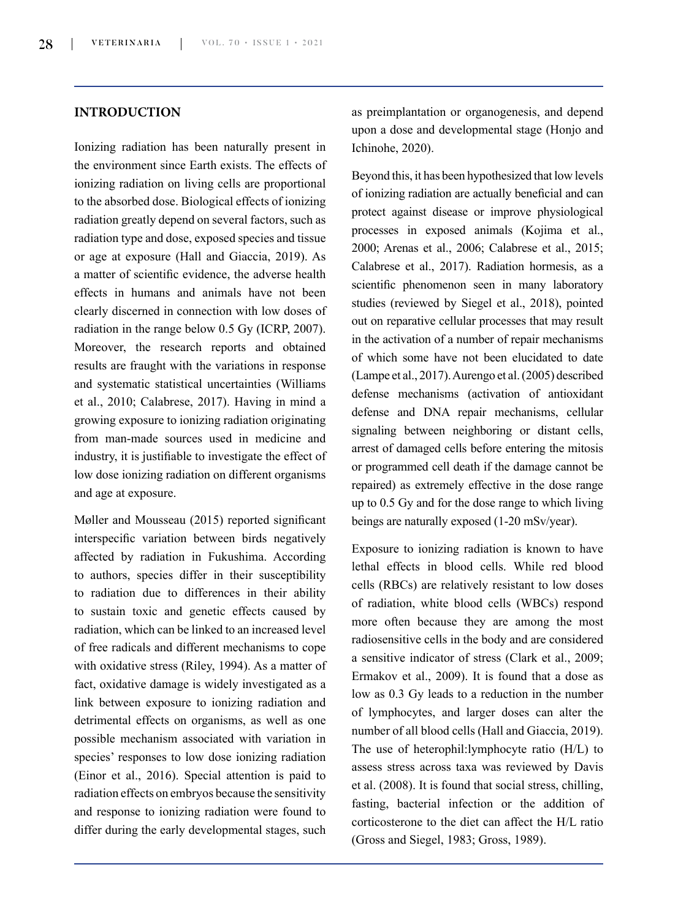# **INTRODUCTION**

Ionizing radiation has been naturally present in the environment since Earth exists. The effects of ionizing radiation on living cells are proportional to the absorbed dose. Biological effects of ionizing radiation greatly depend on several factors, such as radiation type and dose, exposed species and tissue or age at exposure (Hall and Giaccia, 2019). As a matter of scientific evidence, the adverse health effects in humans and animals have not been clearly discerned in connection with low doses of radiation in the range below 0.5 Gy (ICRP, 2007). Moreover, the research reports and obtained results are fraught with the variations in response and systematic statistical uncertainties (Williams et al., 2010; Calabrese, 2017). Having in mind a growing exposure to ionizing radiation originating from man-made sources used in medicine and industry, it is justifiable to investigate the effect of low dose ionizing radiation on different organisms and age at exposure.

Møller and Mousseau (2015) reported significant interspecific variation between birds negatively affected by radiation in Fukushima. According to authors, species differ in their susceptibility to radiation due to differences in their ability to sustain toxic and genetic effects caused by radiation, which can be linked to an increased level of free radicals and different mechanisms to cope with oxidative stress (Riley, 1994). As a matter of fact, oxidative damage is widely investigated as a link between exposure to ionizing radiation and detrimental effects on organisms, as well as one possible mechanism associated with variation in species' responses to low dose ionizing radiation (Einor et al., 2016). Special attention is paid to radiation effects on embryos because the sensitivity and response to ionizing radiation were found to differ during the early developmental stages, such

as preimplantation or organogenesis, and depend upon a dose and developmental stage (Honjo and Ichinohe, 2020).

Beyond this, it has been hypothesized that low levels of ionizing radiation are actually beneficial and can protect against disease or improve physiological processes in exposed animals (Kojima et al., 2000; Arenas et al., 2006; Calabrese et al., 2015; Calabrese et al., 2017). Radiation hormesis, as a scientific phenomenon seen in many laboratory studies (reviewed by Siegel et al., 2018), pointed out on reparative cellular processes that may result in the activation of a number of repair mechanisms of which some have not been elucidated to date (Lampe et al., 2017). Aurengo et al. (2005) described defense mechanisms (activation of antioxidant defense and DNA repair mechanisms, cellular signaling between neighboring or distant cells, arrest of damaged cells before entering the mitosis or programmed cell death if the damage cannot be repaired) as extremely effective in the dose range up to 0.5 Gy and for the dose range to which living beings are naturally exposed (1-20 mSv/year).

Exposure to ionizing radiation is known to have lethal effects in blood cells. While red blood cells (RBCs) are relatively resistant to low doses of radiation, white blood cells (WBCs) respond more often because they are among the most radiosensitive cells in the body and are considered a sensitive indicator of stress (Clark et al., 2009; Ermakov et al., 2009). It is found that a dose as low as 0.3 Gy leads to a reduction in the number of lymphocytes, and larger doses can alter the number of all blood cells (Hall and Giaccia, 2019). The use of heterophil:lymphocyte ratio (H/L) to assess stress across taxa was reviewed by Davis et al. (2008). It is found that social stress, chilling, fasting, bacterial infection or the addition of corticosterone to the diet can affect the H/L ratio (Gross and Siegel, 1983; Gross, 1989).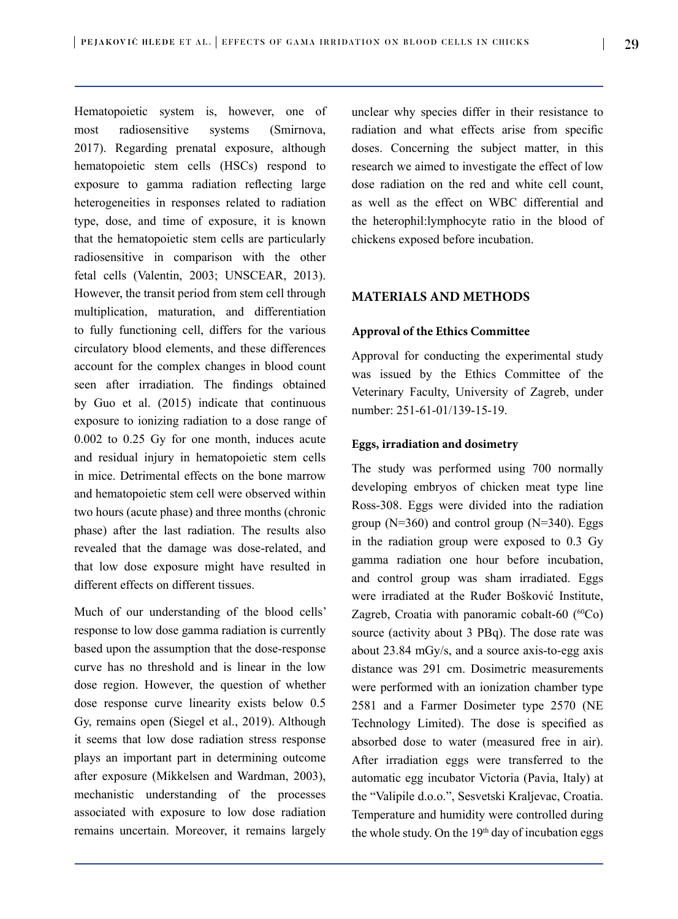Hematopoietic system is, however, one of most radiosensitive systems (Smirnova, 2017). Regarding prenatal exposure, although hematopoietic stem cells (HSCs) respond to exposure to gamma radiation reflecting large heterogeneities in responses related to radiation type, dose, and time of exposure, it is known that the hematopoietic stem cells are particularly radiosensitive in comparison with the other fetal cells (Valentin, 2003; UNSCEAR, 2013). However, the transit period from stem cell through multiplication, maturation, and differentiation to fully functioning cell, differs for the various circulatory blood elements, and these differences account for the complex changes in blood count seen after irradiation. The findings obtained by Guo et al. (2015) indicate that continuous exposure to ionizing radiation to a dose range of 0.002 to 0.25 Gy for one month, induces acute and residual injury in hematopoietic stem cells in mice. Detrimental effects on the bone marrow and hematopoietic stem cell were observed within two hours (acute phase) and three months (chronic phase) after the last radiation. The results also revealed that the damage was dose-related, and that low dose exposure might have resulted in different effects on different tissues.

Much of our understanding of the blood cells' response to low dose gamma radiation is currently based upon the assumption that the dose-response curve has no threshold and is linear in the low dose region. However, the question of whether dose response curve linearity exists below 0.5 Gy, remains open (Siegel et al., 2019). Although it seems that low dose radiation stress response plays an important part in determining outcome after exposure (Mikkelsen and Wardman, 2003), mechanistic understanding of the processes associated with exposure to low dose radiation remains uncertain. Moreover, it remains largely unclear why species differ in their resistance to radiation and what effects arise from specific doses. Concerning the subject matter, in this research we aimed to investigate the effect of low dose radiation on the red and white cell count, as well as the effect on WBC differential and the heterophil:lymphocyte ratio in the blood of chickens exposed before incubation.

# **MATERIALS AND METHODS**

### **Approval of the Ethics Committee**

Approval for conducting the experimental study was issued by the Ethics Committee of the Veterinary Faculty, University of Zagreb, under number: 251-61-01/139-15-19.

## **Eggs, irradiation and dosimetry**

The study was performed using 700 normally developing embryos of chicken meat type line Ross-308. Eggs were divided into the radiation group ( $N=360$ ) and control group ( $N=340$ ). Eggs in the radiation group were exposed to 0.3 Gy gamma radiation one hour before incubation, and control group was sham irradiated. Eggs were irradiated at the Ruđer Bošković Institute, Zagreb, Croatia with panoramic cobalt-60  $(^{60}Co)$ source (activity about 3 PBq). The dose rate was about 23.84 mGy/s, and a source axis-to-egg axis distance was 291 cm. Dosimetric measurements were performed with an ionization chamber type 2581 and a Farmer Dosimeter type 2570 (NE Technology Limited). The dose is specified as absorbed dose to water (measured free in air). After irradiation eggs were transferred to the automatic egg incubator Victoria (Pavia, Italy) at the "Valipile d.o.o.", Sesvetski Kraljevac, Croatia. Temperature and humidity were controlled during the whole study. On the 19<sup>th</sup> day of incubation eggs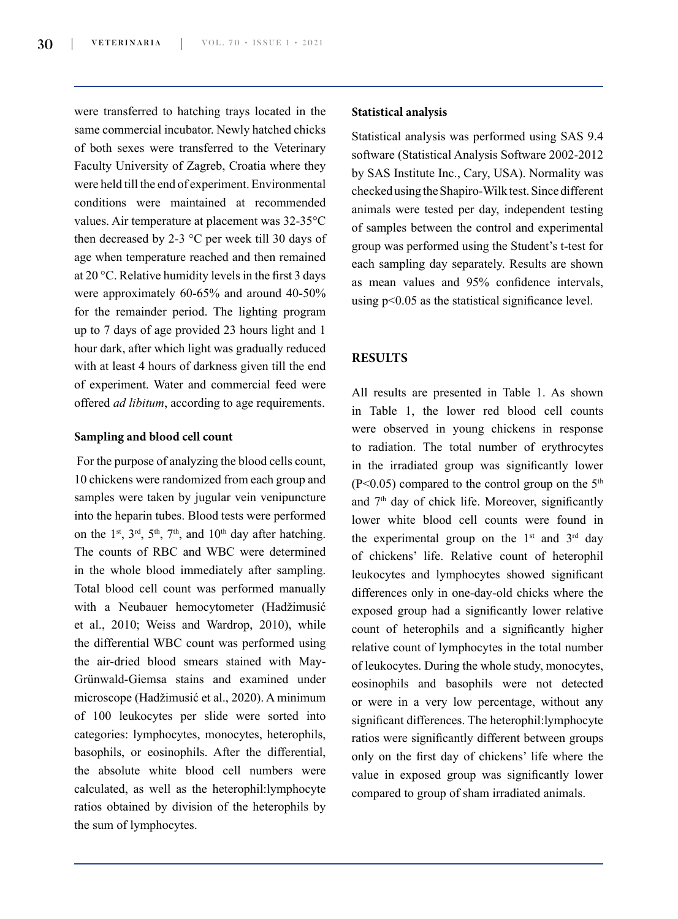were transferred to hatching trays located in the same commercial incubator. Newly hatched chicks of both sexes were transferred to the Veterinary Faculty University of Zagreb, Croatia where they were held till the end of experiment. Environmental conditions were maintained at recommended values. Air temperature at placement was 32-35°C then decreased by 2-3 °C per week till 30 days of age when temperature reached and then remained at 20 °C. Relative humidity levels in the first 3 days were approximately 60-65% and around 40-50% for the remainder period. The lighting program up to 7 days of age provided 23 hours light and 1 hour dark, after which light was gradually reduced with at least 4 hours of darkness given till the end of experiment. Water and commercial feed were offered *ad libitum*, according to age requirements.

#### **Sampling and blood cell count**

For the purpose of analyzing the blood cells count, 10 chickens were randomized from each group and samples were taken by jugular vein venipuncture into the heparin tubes. Blood tests were performed on the 1<sup>st</sup>, 3<sup>rd</sup>, 5<sup>th</sup>, 7<sup>th</sup>, and 10<sup>th</sup> day after hatching. The counts of RBC and WBC were determined in the whole blood immediately after sampling. Total blood cell count was performed manually with a Neubauer hemocytometer (Hadžimusić et al., 2010; Weiss and Wardrop, 2010), while the differential WBC count was performed using the air-dried blood smears stained with May-Grünwald-Giemsa stains and examined under microscope (Hadžimusić et al., 2020). A minimum of 100 leukocytes per slide were sorted into categories: lymphocytes, monocytes, heterophils, basophils, or eosinophils. After the differential, the absolute white blood cell numbers were calculated, as well as the heterophil:lymphocyte ratios obtained by division of the heterophils by the sum of lymphocytes.

#### **Statistical analysis**

Statistical analysis was performed using SAS 9.4 software (Statistical Analysis Software 2002-2012 by SAS Institute Inc., Cary, USA). Normality was checked using the Shapiro-Wilk test. Since different animals were tested per day, independent testing of samples between the control and experimental group was performed using the Student's t-test for each sampling day separately. Results are shown as mean values and 95% confidence intervals, using p<0.05 as the statistical significance level.

## **RESULTS**

All results are presented in Table 1. As shown in Table 1, the lower red blood cell counts were observed in young chickens in response to radiation. The total number of erythrocytes in the irradiated group was significantly lower  $(P<0.05)$  compared to the control group on the 5<sup>th</sup> and  $7<sup>th</sup>$  day of chick life. Moreover, significantly lower white blood cell counts were found in the experimental group on the  $1<sup>st</sup>$  and  $3<sup>rd</sup>$  day of chickens' life. Relative count of heterophil leukocytes and lymphocytes showed significant differences only in one-day-old chicks where the exposed group had a significantly lower relative count of heterophils and a significantly higher relative count of lymphocytes in the total number of leukocytes. During the whole study, monocytes, eosinophils and basophils were not detected or were in a very low percentage, without any significant differences. The heterophil:lymphocyte ratios were significantly different between groups only on the first day of chickens' life where the value in exposed group was significantly lower compared to group of sham irradiated animals.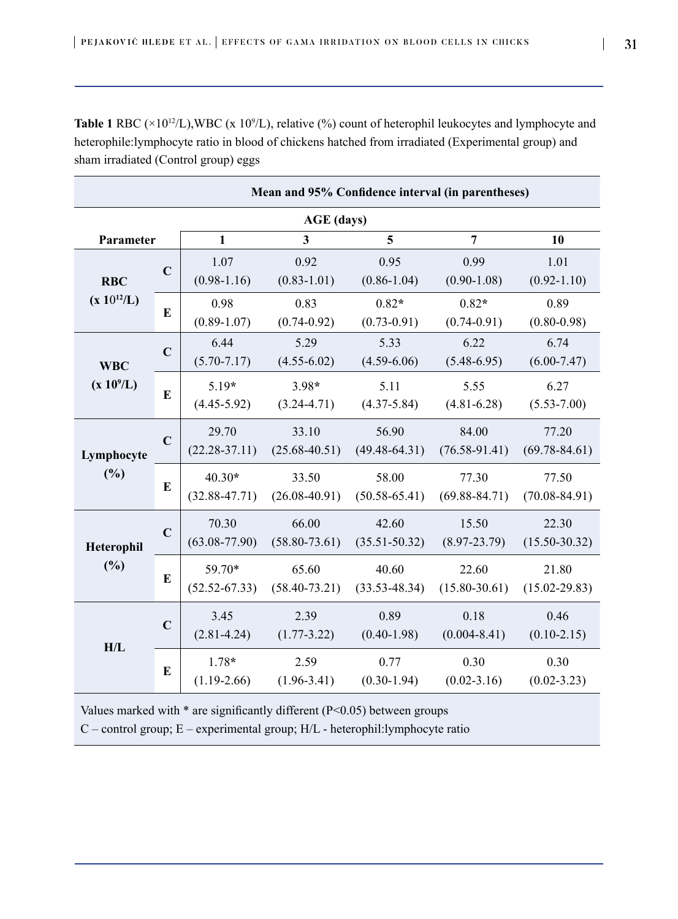**Table 1** RBC ( $\times$ 10<sup>12</sup>/L),WBC (x 10<sup>9</sup>/L), relative (%) count of heterophil leukocytes and lymphocyte and heterophile:lymphocyte ratio in blood of chickens hatched from irradiated (Experimental group) and sham irradiated (Control group) eggs

| Mean and 95% Confidence interval (in parentheses) |             |                   |                   |                   |                   |                   |
|---------------------------------------------------|-------------|-------------------|-------------------|-------------------|-------------------|-------------------|
| <b>AGE</b> (days)                                 |             |                   |                   |                   |                   |                   |
| Parameter                                         |             | $\mathbf{1}$      | 3                 | 5                 | $\overline{7}$    | 10                |
| <b>RBC</b><br>$(x 10^{12}/L)$                     | $\mathbf C$ | 1.07              | 0.92              | 0.95              | 0.99              | 1.01              |
|                                                   |             | $(0.98-1.16)$     | $(0.83 - 1.01)$   | $(0.86 - 1.04)$   | $(0.90 - 1.08)$   | $(0.92 - 1.10)$   |
|                                                   | E           | 0.98              | 0.83              | $0.82*$           | $0.82*$           | 0.89              |
|                                                   |             | $(0.89 - 1.07)$   | $(0.74 - 0.92)$   | $(0.73 - 0.91)$   | $(0.74 - 0.91)$   | $(0.80 - 0.98)$   |
| <b>WBC</b><br>$(x 10^9/L)$                        | $\mathbf C$ | 6.44              | 5.29              | 5.33              | 6.22              | 6.74              |
|                                                   |             | $(5.70 - 7.17)$   | $(4.55-6.02)$     | $(4.59 - 6.06)$   | $(5.48 - 6.95)$   | $(6.00 - 7.47)$   |
|                                                   | E           | $5.19*$           | $3.98*$           | 5.11              | 5.55              | 6.27              |
|                                                   |             | $(4.45 - 5.92)$   | $(3.24 - 4.71)$   | $(4.37 - 5.84)$   | $(4.81 - 6.28)$   | $(5.53 - 7.00)$   |
| Lymphocyte<br>(%)                                 | $\mathbf C$ | 29.70             | 33.10             | 56.90             | 84.00             | 77.20             |
|                                                   |             | $(22.28 - 37.11)$ | $(25.68 - 40.51)$ | $(49.48 - 64.31)$ | $(76.58 - 91.41)$ | $(69.78 - 84.61)$ |
|                                                   | E           | $40.30*$          | 33.50             | 58.00             | 77.30             | 77.50             |
|                                                   |             | $(32.88 - 47.71)$ | $(26.08 - 40.91)$ | $(50.58 - 65.41)$ | $(69.88 - 84.71)$ | $(70.08 - 84.91)$ |
| Heterophil<br>(%)                                 | $\mathbf C$ | 70.30             | 66.00             | 42.60             | 15.50             | 22.30             |
|                                                   |             | $(63.08 - 77.90)$ | $(58.80 - 73.61)$ | $(35.51 - 50.32)$ | $(8.97 - 23.79)$  | $(15.50 - 30.32)$ |
|                                                   | E           | 59.70*            | 65.60             | 40.60             | 22.60             | 21.80             |
|                                                   |             | $(52.52 - 67.33)$ | $(58.40 - 73.21)$ | $(33.53 - 48.34)$ | $(15.80 - 30.61)$ | $(15.02 - 29.83)$ |
| H/L                                               | $\mathbf C$ | 3.45              | 2.39              | 0.89              | 0.18              | 0.46              |
|                                                   |             | $(2.81 - 4.24)$   | $(1.77 - 3.22)$   | $(0.40 - 1.98)$   | $(0.004 - 8.41)$  | $(0.10-2.15)$     |
|                                                   | E           | $1.78*$           | 2.59              | 0.77              | 0.30              | 0.30              |
|                                                   |             | $(1.19-2.66)$     | $(1.96 - 3.41)$   | $(0.30 - 1.94)$   | $(0.02 - 3.16)$   | $(0.02 - 3.23)$   |

Values marked with  $*$  are significantly different (P<0.05) between groups

C – control group; E – experimental group; H/L - heterophil:lymphocyte ratio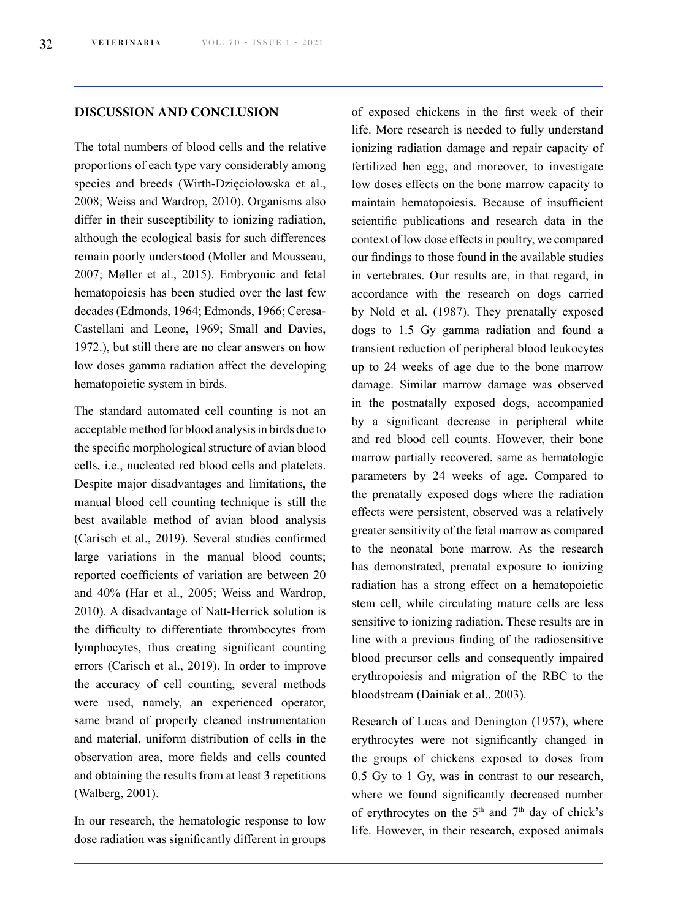## **DISCUSSION AND CONCLUSION**

The total numbers of blood cells and the relative proportions of each type vary considerably among species and breeds (Wirth-Dzięciołowska et al., 2008; Weiss and Wardrop, 2010). Organisms also differ in their susceptibility to ionizing radiation, although the ecological basis for such differences remain poorly understood (Moller and Mousseau, 2007; Møller et al., 2015). Embryonic and fetal hematopoiesis has been studied over the last few decades (Edmonds, 1964; Edmonds, 1966; Ceresa-Castellani and Leone, 1969; Small and Davies, 1972.), but still there are no clear answers on how low doses gamma radiation affect the developing hematopoietic system in birds.

The standard automated cell counting is not an acceptable method for blood analysis in birds due to the specific morphological structure of avian blood cells, i.e., nucleated red blood cells and platelets. Despite major disadvantages and limitations, the manual blood cell counting technique is still the best available method of avian blood analysis (Carisch et al., 2019). Several studies confirmed large variations in the manual blood counts; reported coefficients of variation are between 20 and 40% (Har et al., 2005; Weiss and Wardrop, 2010). A disadvantage of Natt-Herrick solution is the difficulty to differentiate thrombocytes from lymphocytes, thus creating significant counting errors (Carisch et al., 2019). In order to improve the accuracy of cell counting, several methods were used, namely, an experienced operator, same brand of properly cleaned instrumentation and material, uniform distribution of cells in the observation area, more fields and cells counted and obtaining the results from at least 3 repetitions (Walberg, 2001).

In our research, the hematologic response to low dose radiation was significantly different in groups of exposed chickens in the first week of their life. More research is needed to fully understand ionizing radiation damage and repair capacity of fertilized hen egg, and moreover, to investigate low doses effects on the bone marrow capacity to maintain hematopoiesis. Because of insufficient scientific publications and research data in the context of low dose effects in poultry, we compared our findings to those found in the available studies in vertebrates. Our results are, in that regard, in accordance with the research on dogs carried by Nold et al. (1987). They prenatally exposed dogs to 1.5 Gy gamma radiation and found a transient reduction of peripheral blood leukocytes up to 24 weeks of age due to the bone marrow damage. Similar marrow damage was observed in the postnatally exposed dogs, accompanied by a significant decrease in peripheral white and red blood cell counts. However, their bone marrow partially recovered, same as hematologic parameters by 24 weeks of age. Compared to the prenatally exposed dogs where the radiation effects were persistent, observed was a relatively greater sensitivity of the fetal marrow as compared to the neonatal bone marrow. As the research has demonstrated, prenatal exposure to ionizing radiation has a strong effect on a hematopoietic stem cell, while circulating mature cells are less sensitive to ionizing radiation. These results are in line with a previous finding of the radiosensitive blood precursor cells and consequently impaired erythropoiesis and migration of the RBC to the bloodstream (Dainiak et al., 2003).

Research of Lucas and Denington (1957), where erythrocytes were not significantly changed in the groups of chickens exposed to doses from 0.5 Gy to 1 Gy, was in contrast to our research, where we found significantly decreased number of erythrocytes on the  $5<sup>th</sup>$  and  $7<sup>th</sup>$  day of chick's life. However, in their research, exposed animals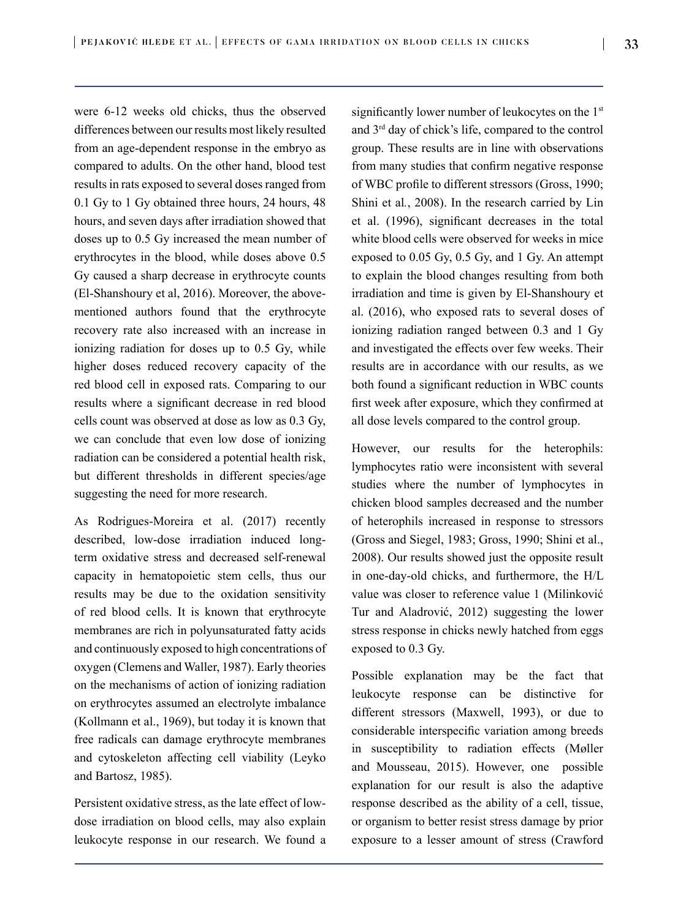were 6-12 weeks old chicks, thus the observed differences between our results most likely resulted from an age-dependent response in the embryo as compared to adults. On the other hand, blood test results in rats exposed to several doses ranged from 0.1 Gy to 1 Gy obtained three hours, 24 hours, 48 hours, and seven days after irradiation showed that doses up to 0.5 Gy increased the mean number of erythrocytes in the blood, while doses above 0.5 Gy caused a sharp decrease in erythrocyte counts (El-Shanshoury et al, 2016). Moreover, the abovementioned authors found that the erythrocyte recovery rate also increased with an increase in ionizing radiation for doses up to 0.5 Gy, while higher doses reduced recovery capacity of the red blood cell in exposed rats. Comparing to our results where a significant decrease in red blood cells count was observed at dose as low as 0.3 Gy, we can conclude that even low dose of ionizing radiation can be considered a potential health risk, but different thresholds in different species/age suggesting the need for more research.

As Rodrigues-Moreira et al. (2017) recently described, low-dose irradiation induced longterm oxidative stress and decreased self-renewal capacity in hematopoietic stem cells, thus our results may be due to the oxidation sensitivity of red blood cells. It is known that erythrocyte membranes are rich in polyunsaturated fatty acids and continuously exposed to high concentrations of oxygen (Clemens and Waller, 1987). Early theories on the mechanisms of action of ionizing radiation on erythrocytes assumed an electrolyte imbalance (Kollmann et al., 1969), but today it is known that free radicals can damage erythrocyte membranes and cytoskeleton affecting cell viability (Leyko and Bartosz, 1985).

Persistent oxidative stress, as the late effect of lowdose irradiation on blood cells, may also explain leukocyte response in our research. We found a significantly lower number of leukocytes on the 1<sup>st</sup> and 3rd day of chick's life, compared to the control group. These results are in line with observations from many studies that confirm negative response of WBC profile to different stressors (Gross, 1990; Shini et al*.*, 2008). In the research carried by Lin et al. (1996), significant decreases in the total white blood cells were observed for weeks in mice exposed to 0.05 Gy, 0.5 Gy, and 1 Gy. An attempt to explain the blood changes resulting from both irradiation and time is given by El-Shanshoury et al. (2016), who exposed rats to several doses of ionizing radiation ranged between 0.3 and 1 Gy and investigated the effects over few weeks. Their results are in accordance with our results, as we both found a significant reduction in WBC counts first week after exposure, which they confirmed at all dose levels compared to the control group.

However, our results for the heterophils: lymphocytes ratio were inconsistent with several studies where the number of lymphocytes in chicken blood samples decreased and the number of heterophils increased in response to stressors (Gross and Siegel, 1983; Gross, 1990; Shini et al., 2008). Our results showed just the opposite result in one-day-old chicks, and furthermore, the H/L value was closer to reference value 1 (Milinković Tur and Aladrović, 2012) suggesting the lower stress response in chicks newly hatched from eggs exposed to 0.3 Gy.

Possible explanation may be the fact that leukocyte response can be distinctive for different stressors (Maxwell, 1993), or due to considerable interspecific variation among breeds in susceptibility to radiation effects (Møller and Mousseau, 2015). However, one possible explanation for our result is also the adaptive response described as the ability of a cell, tissue, or organism to better resist stress damage by prior exposure to a lesser amount of stress (Crawford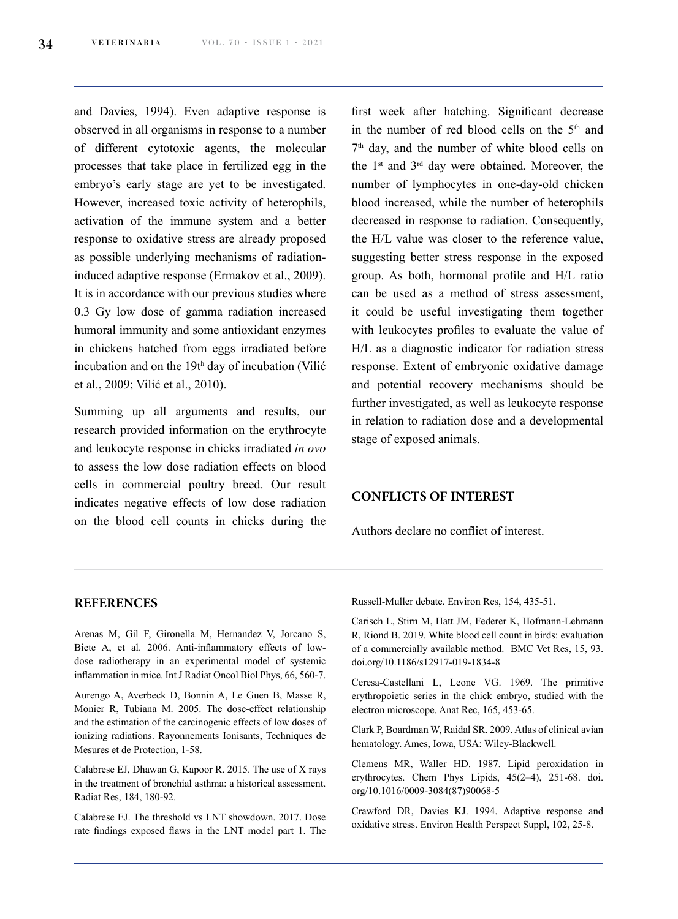and Davies, 1994). Even adaptive response is observed in all organisms in response to a number of different cytotoxic agents, the molecular processes that take place in fertilized egg in the embryo's early stage are yet to be investigated. However, increased toxic activity of heterophils, activation of the immune system and a better response to oxidative stress are already proposed as possible underlying mechanisms of radiationinduced adaptive response (Ermakov et al., 2009). It is in accordance with our previous studies where 0.3 Gy low dose of gamma radiation increased humoral immunity and some antioxidant enzymes in chickens hatched from eggs irradiated before incubation and on the 19th day of incubation (Vilić et al., 2009; Vilić et al., 2010).

Summing up all arguments and results, our research provided information on the erythrocyte and leukocyte response in chicks irradiated *in ovo* to assess the low dose radiation effects on blood cells in commercial poultry breed. Our result indicates negative effects of low dose radiation on the blood cell counts in chicks during the first week after hatching. Significant decrease in the number of red blood cells on the  $5<sup>th</sup>$  and 7<sup>th</sup> day, and the number of white blood cells on the 1st and 3rd day were obtained. Moreover, the number of lymphocytes in one-day-old chicken blood increased, while the number of heterophils decreased in response to radiation. Consequently, the H/L value was closer to the reference value, suggesting better stress response in the exposed group. As both, hormonal profile and H/L ratio can be used as a method of stress assessment, it could be useful investigating them together with leukocytes profiles to evaluate the value of H/L as a diagnostic indicator for radiation stress response. Extent of embryonic oxidative damage and potential recovery mechanisms should be further investigated, as well as leukocyte response in relation to radiation dose and a developmental stage of exposed animals.

#### **CONFLICTS OF INTEREST**

Authors declare no conflict of interest.

#### **REFERENCES**

Arenas M, Gil F, Gironella M, Hernandez V, Jorcano S, Biete A, et al. 2006. Anti-inflammatory effects of lowdose radiotherapy in an experimental model of systemic inflammation in mice. Int J Radiat Oncol Biol Phys, 66, 560-7.

Aurengo A, Averbeck D, Bonnin A, Le Guen B, Masse R, Monier R, Tubiana M. 2005. The dose-effect relationship and the estimation of the carcinogenic effects of low doses of ionizing radiations. Rayonnements Ionisants, Techniques de Mesures et de Protection, 1-58.

Calabrese EJ, Dhawan G, Kapoor R. 2015. The use of X rays in the treatment of bronchial asthma: a historical assessment. Radiat Res, 184, 180-92.

Calabrese EJ. The threshold vs LNT showdown. 2017. Dose rate findings exposed flaws in the LNT model part 1. The Russell-Muller debate. Environ Res, 154, 435-51.

Carisch L, Stirn M, Hatt JM, Federer K, Hofmann-Lehmann R, Riond B. 2019. White blood cell count in birds: evaluation of a commercially available method. BMC Vet Res, 15, 93. [doi.org/10.1186/s12917-019-1834-8](file:///D:\Downloads\doi.org\10.1186\s12917-019-1834-8)

Ceresa-Castellani L, Leone VG. 1969. The primitive erythropoietic series in the chick embryo, studied with the electron microscope. Anat Rec, 165, 453-65.

Clark P, Boardman W, Raidal SR. 2009. Atlas of clinical avian hematology. Ames, Iowa, USA: Wiley-Blackwell.

Clemens MR, Waller HD. 1987. Lipid peroxidation in erythrocytes. Chem Phys Lipids, 45(2–4), 251-68. doi. org/10.1016/0009-3084(87)90068-5

Crawford DR, Davies KJ. 1994. Adaptive response and oxidative stress. Environ Health Perspect Suppl, 102, 25-8.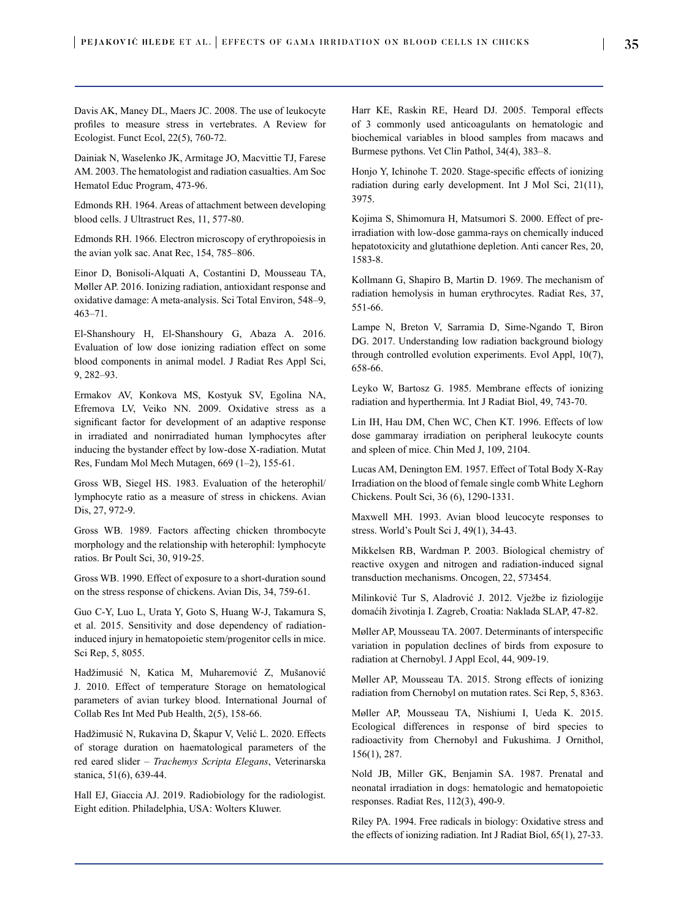Davis AK, Maney DL, Maers JC. 2008. The use of leukocyte profiles to measure stress in vertebrates. A Review for Ecologist. Funct Ecol, 22(5), 760-72.

Dainiak N, Waselenko JK, Armitage JO, Macvittie TJ, Farese AM. 2003. The hematologist and radiation casualties. Am Soc Hematol Educ Program, 473-96.

Edmonds RH. 1964. Areas of attachment between developing blood cells. J Ultrastruct Res, 11, 577-80.

Edmonds RH. 1966. Electron microscopy of erythropoiesis in the avian yolk sac. Anat Rec, 154, 785–806.

Einor D, Bonisoli-Alquati A, Costantini D, Mousseau TA, Møller AP. 2016. Ionizing radiation, antioxidant response and oxidative damage: A meta-analysis. Sci Total Environ, 548–9, 463–71.

El-Shanshoury H, El-Shanshoury G, Abaza A. 2016. Evaluation of low dose ionizing radiation effect on some blood components in animal model. J Radiat Res Appl Sci, 9, 282–93.

Ermakov AV, Konkova MS, Kostyuk SV, Egolina NA, Efremova LV, Veiko NN. 2009. Oxidative stress as a significant factor for development of an adaptive response in irradiated and nonirradiated human lymphocytes after inducing the bystander effect by low-dose X-radiation. Mutat Res, Fundam Mol Mech Mutagen, 669 (1–2), 155-61.

Gross WB, Siegel HS. 1983. Evaluation of the heterophil/ lymphocyte ratio as a measure of stress in chickens. Avian Dis, 27, 972-9.

Gross WB. 1989. Factors affecting chicken thrombocyte morphology and the relationship with heterophil: lymphocyte ratios. Br Poult Sci, 30, 919-25.

Gross WB. 1990. Effect of exposure to a short-duration sound on the stress response of chickens. Avian Dis, 34, 759-61.

Guo C-Y, Luo L, Urata Y, Goto S, Huang W-J, Takamura S, et al. 2015. Sensitivity and dose dependency of radiationinduced injury in hematopoietic stem/progenitor cells in mice. Sci Rep, 5, 8055.

Hadžimusić N, Katica M, Muharemović Z, Mušanović J. 2010. Effect of temperature Storage on hematological parameters of avian turkey blood. International Journal of Collab Res Int Med Pub Health, 2(5), 158-66.

Hadžimusić N, Rukavina D, Škapur V, Velić L. 2020. Effects of storage duration on haematological parameters of the red eared slider – *Trachemys Scripta Elegans*, Veterinarska stanica, 51(6), 639-44.

Hall EJ, Giaccia AJ. 2019. Radiobiology for the radiologist. Eight edition. Philadelphia, USA: Wolters Kluwer.

Harr KE, Raskin RE, Heard DJ. 2005. Temporal effects of 3 commonly used anticoagulants on hematologic and biochemical variables in blood samples from macaws and Burmese pythons. Vet Clin Pathol, 34(4), 383–8.

Honjo Y, Ichinohe T. 2020. Stage-specific effects of ionizing radiation during early development. Int J Mol Sci, 21(11), 3975.

Kojima S, Shimomura H, Matsumori S. 2000. Effect of preirradiation with low-dose gamma-rays on chemically induced hepatotoxicity and glutathione depletion. Anti cancer Res, 20, 1583-8.

Kollmann G, Shapiro B, Martin D. 1969. The mechanism of radiation hemolysis in human erythrocytes. Radiat Res, 37, 551-66.

Lampe N, Breton V, Sarramia D, Sime-Ngando T, Biron DG. 2017. Understanding low radiation background biology through controlled evolution experiments. Evol Appl, 10(7), 658-66.

Leyko W, Bartosz G. 1985. Membrane effects of ionizing radiation and hyperthermia. Int J Radiat Biol, 49, 743-70.

Lin IH, Hau DM, Chen WC, Chen KT. 1996. Effects of low dose gammaray irradiation on peripheral leukocyte counts and spleen of mice. Chin Med J, 109, 2104.

Lucas AM, Denington EM. 1957. Effect of Total Body X-Ray Irradiation on the blood of female single comb White Leghorn Chickens. Poult Sci, 36 (6), 1290-1331.

Maxwell MH. 1993. Avian blood leucocyte responses to stress. World's Poult Sci J, 49(1), 34-43.

Mikkelsen RB, Wardman P. 2003. Biological chemistry of reactive oxygen and nitrogen and radiation-induced signal transduction mechanisms. Oncogen, 22, 573454.

Milinković Tur S, Aladrović J. 2012. Vježbe iz fiziologije domaćih životinja I. Zagreb, Croatia: Naklada SLAP, 47-82.

Møller AP, Mousseau TA. 2007. Determinants of interspecific variation in population declines of birds from exposure to radiation at Chernobyl. J Appl Ecol, 44, 909-19.

Møller AP, Mousseau TA. 2015. Strong effects of ionizing radiation from Chernobyl on mutation rates. Sci Rep, 5, 8363.

Møller AP, Mousseau TA, Nishiumi I, Ueda K. 2015. Ecological differences in response of bird species to radioactivity from Chernobyl and Fukushima. J Ornithol, 156(1), 287.

Nold JB, Miller GK, Benjamin SA. 1987. Prenatal and neonatal irradiation in dogs: hematologic and hematopoietic responses. Radiat Res, 112(3), 490-9.

Riley PA. 1994. Free radicals in biology: Oxidative stress and the effects of ionizing radiation. Int J Radiat Biol, 65(1), 27-33.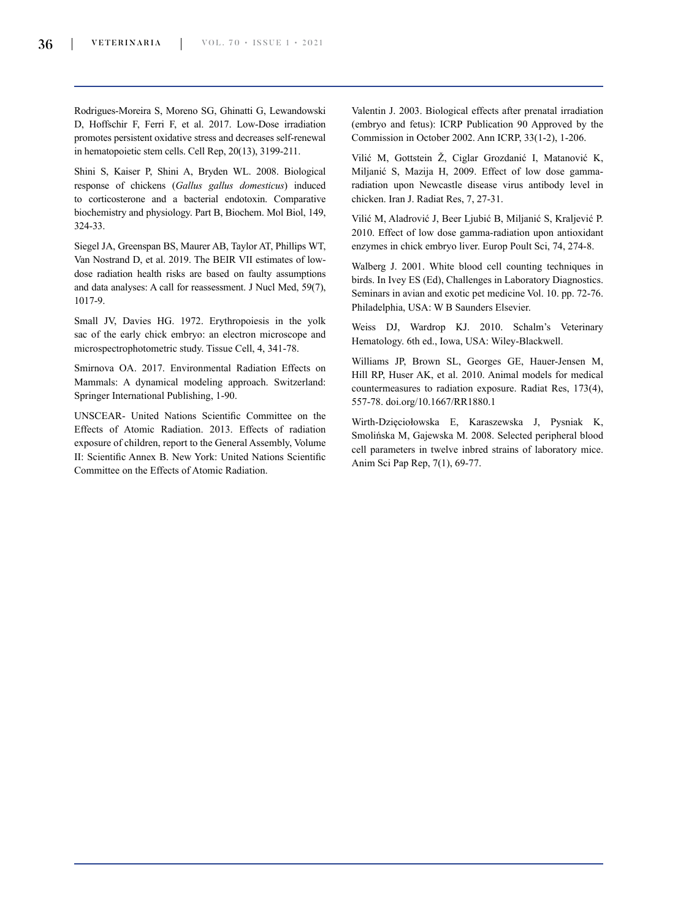Rodrigues-Moreira S, Moreno SG, Ghinatti G, Lewandowski D, Hoffschir F, Ferri F, et al. 2017. Low-Dose irradiation promotes persistent oxidative stress and decreases self-renewal in hematopoietic stem cells. Cell Rep, 20(13), 3199-211.

Shini S, Kaiser P, Shini A, Bryden WL. 2008. Biological response of chickens (*Gallus gallus domesticus*) induced to corticosterone and a bacterial endotoxin. Comparative biochemistry and physiology. Part B, Biochem. Mol Biol, 149, 324-33.

Siegel JA, Greenspan BS, Maurer AB, Taylor AT, Phillips WT, Van Nostrand D, et al. 2019. The BEIR VII estimates of lowdose radiation health risks are based on faulty assumptions and data analyses: A call for reassessment. J Nucl Med, 59(7), 1017-9.

Small JV, Davies HG. 1972. Erythropoiesis in the yolk sac of the early chick embryo: an electron microscope and microspectrophotometric study. Tissue Cell, 4, 341-78.

Smirnova OA. 2017. Environmental Radiation Effects on Mammals: A dynamical modeling approach. Switzerland: Springer International Publishing, 1-90.

UNSCEAR- United Nations Scientific Committee on the Effects of Atomic Radiation. 2013. Effects of radiation exposure of children, report to the General Assembly, Volume II: Scientific Annex B. New York: United Nations Scientific Committee on the Effects of Atomic Radiation.

Valentin J. 2003. Biological effects after prenatal irradiation (embryo and fetus): ICRP Publication 90 Approved by the Commission in October 2002. Ann ICRP, 33(1-2), 1-206.

Vilić M, Gottstein Ž, Ciglar Grozdanić I, Matanović K, Miljanić S, Mazija H, 2009. Effect of low dose gammaradiation upon Newcastle disease virus antibody level in chicken. Iran J. Radiat Res, 7, 27-31.

Vilić M, Aladrović J, Beer Ljubić B, Miljanić S, Kraljević P. 2010. Effect of low dose gamma-radiation upon antioxidant enzymes in chick embryo liver. Europ Poult Sci, 74, 274-8.

Walberg J. 2001. White blood cell counting techniques in birds. In Ivey ES (Ed), Challenges in Laboratory Diagnostics. Seminars in avian and exotic pet medicine Vol. 10. pp. 72-76. Philadelphia, USA: W B Saunders Elsevier.

Weiss DJ, Wardrop KJ. 2010. Schalm's Veterinary Hematology. 6th ed., Iowa, USA: Wiley-Blackwell.

Williams JP, Brown SL, Georges GE, Hauer-Jensen M, Hill RP, Huser AK, et al. 2010. Animal models for medical countermeasures to radiation exposure. Radiat Res, 173(4), 557-78. doi.org/10.1667/RR1880.1

Wirth-Dzięciołowska E, Karaszewska J, Pysniak K, Smolińska M, Gajewska M. 2008. Selected peripheral blood cell parameters in twelve inbred strains of laboratory mice. Anim Sci Pap Rep, 7(1), 69-77.